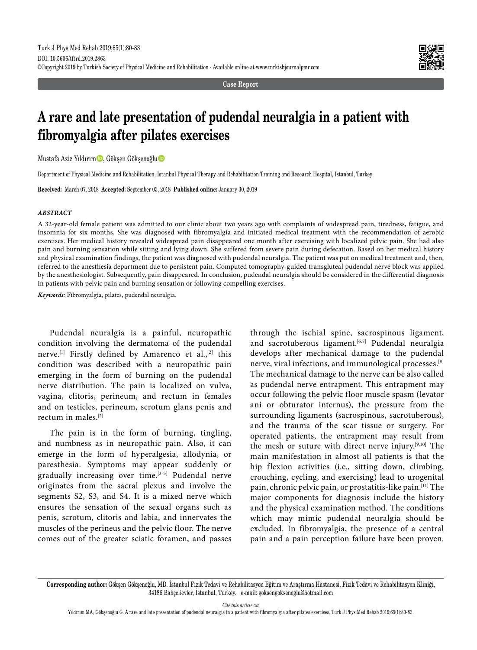

**Case Report**

# **A rare and late presentation of pudendal neuralgia in a patient with fibromyalgia after pilates exercises**

Mustafa Aziz Yıldırım D, Gökşen Gökşenoğlu D

Department of Physical Medicine and Rehabilitation, Istanbul Physical Therapy and Rehabilitation Training and Research Hospital, Istanbul, Turkey

**Received:** March 07, 2018 **Accepted:** September 03, 2018 **Published online:** January 30, 2019

#### *ABSTRACT*

A 32-year-old female patient was admitted to our clinic about two years ago with complaints of widespread pain, tiredness, fatigue, and insomnia for six months. She was diagnosed with fibromyalgia and initiated medical treatment with the recommendation of aerobic exercises. Her medical history revealed widespread pain disappeared one month after exercising with localized pelvic pain. She had also pain and burning sensation while sitting and lying down. She suffered from severe pain during defecation. Based on her medical history and physical examination findings, the patient was diagnosed with pudendal neuralgia. The patient was put on medical treatment and, then, referred to the anesthesia department due to persistent pain. Computed tomography-guided transgluteal pudendal nerve block was applied by the anesthesiologist. Subsequently, pain disappeared. In conclusion, pudendal neuralgia should be considered in the differential diagnosis in patients with pelvic pain and burning sensation or following compelling exercises.

*Keywords:* Fibromyalgia, pilates, pudendal neuralgia.

Pudendal neuralgia is a painful, neuropathic condition involving the dermatoma of the pudendal nerve.<sup>[1]</sup> Firstly defined by Amarenco et al.,<sup>[2]</sup> this condition was described with a neuropathic pain emerging in the form of burning on the pudendal nerve distribution. The pain is localized on vulva, vagina, clitoris, perineum, and rectum in females and on testicles, perineum, scrotum glans penis and rectum in males.[2]

The pain is in the form of burning, tingling, and numbness as in neuropathic pain. Also, it can emerge in the form of hyperalgesia, allodynia, or paresthesia. Symptoms may appear suddenly or gradually increasing over time.<sup>[3-5]</sup> Pudendal nerve originates from the sacral plexus and involve the segments S2, S3, and S4. It is a mixed nerve which ensures the sensation of the sexual organs such as penis, scrotum, clitoris and labia, and innervates the muscles of the perineus and the pelvic floor. The nerve comes out of the greater sciatic foramen, and passes

through the ischial spine, sacrospinous ligament, and sacrotuberous ligament.<sup>[6,7]</sup> Pudendal neuralgia develops after mechanical damage to the pudendal nerve, viral infections, and immunological processes.[8] The mechanical damage to the nerve can be also called as pudendal nerve entrapment. This entrapment may occur following the pelvic floor muscle spasm (levator ani or obturator internus), the pressure from the surrounding ligaments (sacrospinous, sacrotuberous), and the trauma of the scar tissue or surgery. For operated patients, the entrapment may result from the mesh or suture with direct nerve injury.[9,10] The main manifestation in almost all patients is that the hip flexion activities (i.e., sitting down, climbing, crouching, cycling, and exercising) lead to urogenital pain, chronic pelvic pain, or prostatitis-like pain.[11] The major components for diagnosis include the history and the physical examination method. The conditions which may mimic pudendal neuralgia should be excluded. In fibromyalgia, the presence of a central pain and a pain perception failure have been proven.

*Cite this article as:*

**Corresponding author:** Gökşen Gökşenoğlu, MD. İstanbul Fizik Tedavi ve Rehabilitasyon Eğitim ve Araştırma Hastanesi, Fizik Tedavi ve Rehabilitasyon Kliniği, 34186 Bahçelievler, İstanbul, Turkey. e-mail: goksengoksenoglu@hotmail.com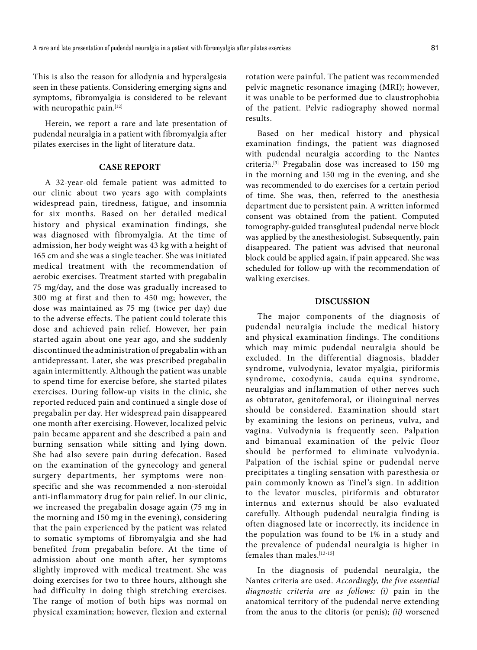This is also the reason for allodynia and hyperalgesia seen in these patients. Considering emerging signs and symptoms, fibromyalgia is considered to be relevant with neuropathic pain.<sup>[12]</sup>

Herein, we report a rare and late presentation of pudendal neuralgia in a patient with fibromyalgia after pilates exercises in the light of literature data.

## **CASE REPORT**

A 32-year-old female patient was admitted to our clinic about two years ago with complaints widespread pain, tiredness, fatigue, and insomnia for six months. Based on her detailed medical history and physical examination findings, she was diagnosed with fibromyalgia. At the time of admission, her body weight was 43 kg with a height of 165 cm and she was a single teacher. She was initiated medical treatment with the recommendation of aerobic exercises. Treatment started with pregabalin 75 mg/day, and the dose was gradually increased to 300 mg at first and then to 450 mg; however, the dose was maintained as 75 mg (twice per day) due to the adverse effects. The patient could tolerate this dose and achieved pain relief. However, her pain started again about one year ago, and she suddenly discontinued the administration of pregabalin with an antidepressant. Later, she was prescribed pregabalin again intermittently. Although the patient was unable to spend time for exercise before, she started pilates exercises. During follow-up visits in the clinic, she reported reduced pain and continued a single dose of pregabalin per day. Her widespread pain disappeared one month after exercising. However, localized pelvic pain became apparent and she described a pain and burning sensation while sitting and lying down. She had also severe pain during defecation. Based on the examination of the gynecology and general surgery departments, her symptoms were nonspecific and she was recommended a non-steroidal anti-inflammatory drug for pain relief. In our clinic, we increased the pregabalin dosage again (75 mg in the morning and 150 mg in the evening), considering that the pain experienced by the patient was related to somatic symptoms of fibromyalgia and she had benefited from pregabalin before. At the time of admission about one month after, her symptoms slightly improved with medical treatment. She was doing exercises for two to three hours, although she had difficulty in doing thigh stretching exercises. The range of motion of both hips was normal on physical examination; however, flexion and external

rotation were painful. The patient was recommended pelvic magnetic resonance imaging (MRI); however, it was unable to be performed due to claustrophobia of the patient. Pelvic radiography showed normal results.

Based on her medical history and physical examination findings, the patient was diagnosed with pudendal neuralgia according to the Nantes criteria.[3] Pregabalin dose was increased to 150 mg in the morning and 150 mg in the evening, and she was recommended to do exercises for a certain period of time. She was, then, referred to the anesthesia department due to persistent pain. A written informed consent was obtained from the patient. Computed tomography-guided transgluteal pudendal nerve block was applied by the anesthesiologist. Subsequently, pain disappeared. The patient was advised that neuronal block could be applied again, if pain appeared. She was scheduled for follow-up with the recommendation of walking exercises.

# **DISCUSSION**

The major components of the diagnosis of pudendal neuralgia include the medical history and physical examination findings. The conditions which may mimic pudendal neuralgia should be excluded. In the differential diagnosis, bladder syndrome, vulvodynia, levator myalgia, piriformis syndrome, coxodynia, cauda equina syndrome, neuralgias and inflammation of other nerves such as obturator, genitofemoral, or ilioinguinal nerves should be considered. Examination should start by examining the lesions on perineus, vulva, and vagina. Vulvodynia is frequently seen. Palpation and bimanual examination of the pelvic floor should be performed to eliminate vulvodynia. Palpation of the ischial spine or pudendal nerve precipitates a tingling sensation with paresthesia or pain commonly known as Tinel's sign. In addition to the levator muscles, piriformis and obturator internus and externus should be also evaluated carefully. Although pudendal neuralgia finding is often diagnosed late or incorrectly, its incidence in the population was found to be 1% in a study and the prevalence of pudendal neuralgia is higher in females than males.[13-15]

In the diagnosis of pudendal neuralgia, the Nantes criteria are used. *Accordingly, the five essential diagnostic criteria are as follows: (i)* pain in the anatomical territory of the pudendal nerve extending from the anus to the clitoris (or penis); *(ii)* worsened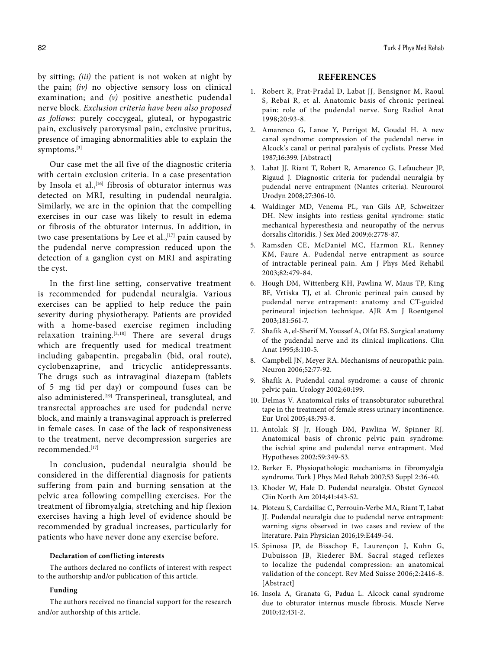by sitting; *(iii)* the patient is not woken at night by the pain; *(iv)* no objective sensory loss on clinical examination; and *(v)* positive anesthetic pudendal nerve block. *Exclusion criteria have been also proposed as follows:* purely coccygeal, gluteal, or hypogastric pain, exclusively paroxysmal pain, exclusive pruritus, presence of imaging abnormalities able to explain the symptoms.[3]

Our case met the all five of the diagnostic criteria with certain exclusion criteria. In a case presentation by Insola et al.,<sup>[16]</sup> fibrosis of obturator internus was detected on MRI, resulting in pudendal neuralgia. Similarly, we are in the opinion that the compelling exercises in our case was likely to result in edema or fibrosis of the obturator internus. In addition, in two case presentations by Lee et al., $[17]$  pain caused by the pudendal nerve compression reduced upon the detection of a ganglion cyst on MRI and aspirating the cyst.

In the first-line setting, conservative treatment is recommended for pudendal neuralgia. Various exercises can be applied to help reduce the pain severity during physiotherapy. Patients are provided with a home-based exercise regimen including relaxation training. $[2,18]$  There are several drugs which are frequently used for medical treatment including gabapentin, pregabalin (bid, oral route), cyclobenzaprine, and tricyclic antidepressants. The drugs such as intravaginal diazepam (tablets of 5 mg tid per day) or compound fuses can be also administered.<sup>[19]</sup> Transperineal, transgluteal, and transrectal approaches are used for pudendal nerve block, and mainly a transvaginal approach is preferred in female cases. In case of the lack of responsiveness to the treatment, nerve decompression surgeries are recommended<sup>[17]</sup>

In conclusion, pudendal neuralgia should be considered in the differential diagnosis for patients suffering from pain and burning sensation at the pelvic area following compelling exercises. For the treatment of fibromyalgia, stretching and hip flexion exercises having a high level of evidence should be recommended by gradual increases, particularly for patients who have never done any exercise before.

### **Declaration of conflicting interests**

The authors declared no conflicts of interest with respect to the authorship and/or publication of this article.

#### **Funding**

The authors received no financial support for the research and/or authorship of this article.

## **REFERENCES**

- 1. Robert R, Prat-Pradal D, Labat JJ, Bensignor M, Raoul S, Rebai R, et al. Anatomic basis of chronic perineal pain: role of the pudendal nerve. Surg Radiol Anat 1998;20:93-8.
- 2. Amarenco G, Lanoe Y, Perrigot M, Goudal H. A new canal syndrome: compression of the pudendal nerve in Alcock's canal or perinal paralysis of cyclists. Presse Med 1987;16:399. [Abstract]
- 3. Labat JJ, Riant T, Robert R, Amarenco G, Lefaucheur JP, Rigaud J. Diagnostic criteria for pudendal neuralgia by pudendal nerve entrapment (Nantes criteria). Neurourol Urodyn 2008;27:306-10.
- 4. Waldinger MD, Venema PL, van Gils AP, Schweitzer DH. New insights into restless genital syndrome: static mechanical hyperesthesia and neuropathy of the nervus dorsalis clitoridis. J Sex Med 2009;6:2778-87.
- 5. Ramsden CE, McDaniel MC, Harmon RL, Renney KM, Faure A. Pudendal nerve entrapment as source of intractable perineal pain. Am J Phys Med Rehabil 2003;82:479-84.
- 6. Hough DM, Wittenberg KH, Pawlina W, Maus TP, King BF, Vrtiska TJ, et al. Chronic perineal pain caused by pudendal nerve entrapment: anatomy and CT-guided perineural injection technique. AJR Am J Roentgenol 2003;181:561-7.
- 7. Shafik A, el-Sherif M, Youssef A, Olfat ES. Surgical anatomy of the pudendal nerve and its clinical implications. Clin Anat 1995;8:110-5.
- 8. Campbell JN, Meyer RA. Mechanisms of neuropathic pain. Neuron 2006;52:77-92.
- 9. Shafik A. Pudendal canal syndrome: a cause of chronic pelvic pain. Urology 2002;60:199.
- 10. Delmas V. Anatomical risks of transobturator suburethral tape in the treatment of female stress urinary incontinence. Eur Urol 2005;48:793-8.
- 11. Antolak SJ Jr, Hough DM, Pawlina W, Spinner RJ. Anatomical basis of chronic pelvic pain syndrome: the ischial spine and pudendal nerve entrapment. Med Hypotheses 2002;59:349-53.
- 12. Berker E. Physiopathologic mechanisms in fibromyalgia syndrome. Turk J Phys Med Rehab 2007;53 Suppl 2:36-40.
- 13. Khoder W, Hale D. Pudendal neuralgia. Obstet Gynecol Clin North Am 2014;41:443-52.
- 14. Ploteau S, Cardaillac C, Perrouin-Verbe MA, Riant T, Labat JJ. Pudendal neuralgia due to pudendal nerve entrapment: warning signs observed in two cases and review of the literature. Pain Physician 2016;19:E449-54.
- 15. Spinosa JP, de Bisschop E, Laurençon J, Kuhn G, Dubuisson JB, Riederer BM. Sacral staged reflexes to localize the pudendal compression: an anatomical validation of the concept. Rev Med Suisse 2006;2:2416-8. [Abstract]
- 16. Insola A, Granata G, Padua L. Alcock canal syndrome due to obturator internus muscle fibrosis. Muscle Nerve 2010;42:431-2.